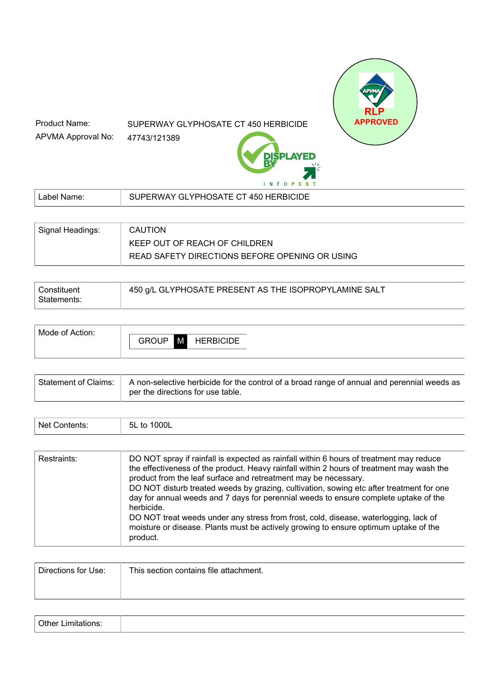# SUPERWAY GLYPHOSATE CT 450 HERBICIDE

47743/121389 APVMA Approval No:

Product Name:



 **RLP**

**ED** 

| Label   | <b>GLYPHOSATE CT 450 HERBICIDE</b> |
|---------|------------------------------------|
| ' Name. | <b>JPERWAY</b>                     |
|         |                                    |

| Signal Headings: | <b>CAUTION</b>                                 |
|------------------|------------------------------------------------|
|                  | KEEP OUT OF REACH OF CHILDREN                  |
|                  | READ SAFETY DIRECTIONS BEFORE OPENING OR USING |

| Constituent | 450 g/L GLYPHOSATE PRESENT AS THE ISOPROPYLAMINE SALT |
|-------------|-------------------------------------------------------|
| Statements: |                                                       |

| <b>HERBICIDE</b> |  |
|------------------|--|
|------------------|--|

| Statement of Claims:   A non-selective herbicide for the control of a broad range of annual and perennial weeds as  <br>per the directions for use table. |
|-----------------------------------------------------------------------------------------------------------------------------------------------------------|
|-----------------------------------------------------------------------------------------------------------------------------------------------------------|

| <b>Net</b><br>. | 000L<br>- -<br>5L<br>חז<br>. .<br>. |
|-----------------|-------------------------------------|
|                 |                                     |

| Restraints: | DO NOT spray if rainfall is expected as rainfall within 6 hours of treatment may reduce<br>the effectiveness of the product. Heavy rainfall within 2 hours of treatment may wash the<br>product from the leaf surface and retreatment may be necessary.<br>DO NOT disturb treated weeds by grazing, cultivation, sowing etc after treatment for one<br>day for annual weeds and 7 days for perennial weeds to ensure complete uptake of the<br>herbicide.<br>DO NOT treat weeds under any stress from frost, cold, disease, waterlogging, lack of<br>moisture or disease. Plants must be actively growing to ensure optimum uptake of the<br>product. |
|-------------|-------------------------------------------------------------------------------------------------------------------------------------------------------------------------------------------------------------------------------------------------------------------------------------------------------------------------------------------------------------------------------------------------------------------------------------------------------------------------------------------------------------------------------------------------------------------------------------------------------------------------------------------------------|
|-------------|-------------------------------------------------------------------------------------------------------------------------------------------------------------------------------------------------------------------------------------------------------------------------------------------------------------------------------------------------------------------------------------------------------------------------------------------------------------------------------------------------------------------------------------------------------------------------------------------------------------------------------------------------------|

| Directions for Use: | This section contains file attachment. |
|---------------------|----------------------------------------|
|                     |                                        |
|                     |                                        |

|--|--|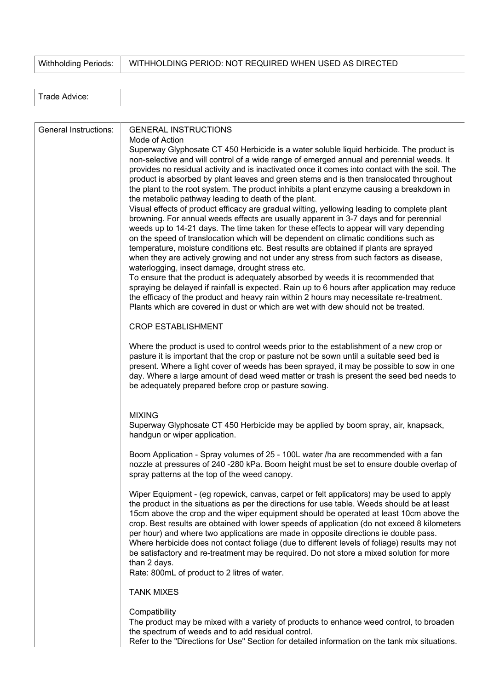Withholding Periods: WITHHOLDING PERIOD: NOT REQUIRED WHEN USED AS DIRECTED

| $\sim$<br>امصف<br>$\cdots$<br>Advice.<br>апе |  |
|----------------------------------------------|--|
|                                              |  |

| General Instructions: | <b>GENERAL INSTRUCTIONS</b><br>Mode of Action<br>Superway Glyphosate CT 450 Herbicide is a water soluble liquid herbicide. The product is<br>non-selective and will control of a wide range of emerged annual and perennial weeds. It<br>provides no residual activity and is inactivated once it comes into contact with the soil. The<br>product is absorbed by plant leaves and green stems and is then translocated throughout<br>the plant to the root system. The product inhibits a plant enzyme causing a breakdown in<br>the metabolic pathway leading to death of the plant.<br>Visual effects of product efficacy are gradual wilting, yellowing leading to complete plant<br>browning. For annual weeds effects are usually apparent in 3-7 days and for perennial<br>weeds up to 14-21 days. The time taken for these effects to appear will vary depending<br>on the speed of translocation which will be dependent on climatic conditions such as<br>temperature, moisture conditions etc. Best results are obtained if plants are sprayed<br>when they are actively growing and not under any stress from such factors as disease,<br>waterlogging, insect damage, drought stress etc.<br>To ensure that the product is adequately absorbed by weeds it is recommended that<br>spraying be delayed if rainfall is expected. Rain up to 6 hours after application may reduce<br>the efficacy of the product and heavy rain within 2 hours may necessitate re-treatment.<br>Plants which are covered in dust or which are wet with dew should not be treated.<br><b>CROP ESTABLISHMENT</b><br>Where the product is used to control weeds prior to the establishment of a new crop or<br>pasture it is important that the crop or pasture not be sown until a suitable seed bed is |
|-----------------------|-------------------------------------------------------------------------------------------------------------------------------------------------------------------------------------------------------------------------------------------------------------------------------------------------------------------------------------------------------------------------------------------------------------------------------------------------------------------------------------------------------------------------------------------------------------------------------------------------------------------------------------------------------------------------------------------------------------------------------------------------------------------------------------------------------------------------------------------------------------------------------------------------------------------------------------------------------------------------------------------------------------------------------------------------------------------------------------------------------------------------------------------------------------------------------------------------------------------------------------------------------------------------------------------------------------------------------------------------------------------------------------------------------------------------------------------------------------------------------------------------------------------------------------------------------------------------------------------------------------------------------------------------------------------------------------------------------------------------------------------------------------------------------------------------|
|                       | present. Where a light cover of weeds has been sprayed, it may be possible to sow in one<br>day. Where a large amount of dead weed matter or trash is present the seed bed needs to<br>be adequately prepared before crop or pasture sowing.<br><b>MIXING</b>                                                                                                                                                                                                                                                                                                                                                                                                                                                                                                                                                                                                                                                                                                                                                                                                                                                                                                                                                                                                                                                                                                                                                                                                                                                                                                                                                                                                                                                                                                                                   |
|                       | Superway Glyphosate CT 450 Herbicide may be applied by boom spray, air, knapsack,<br>handgun or wiper application.                                                                                                                                                                                                                                                                                                                                                                                                                                                                                                                                                                                                                                                                                                                                                                                                                                                                                                                                                                                                                                                                                                                                                                                                                                                                                                                                                                                                                                                                                                                                                                                                                                                                              |
|                       | Boom Application - Spray volumes of 25 - 100L water /ha are recommended with a fan<br>nozzle at pressures of 240 -280 kPa. Boom height must be set to ensure double overlap of<br>spray patterns at the top of the weed canopy.                                                                                                                                                                                                                                                                                                                                                                                                                                                                                                                                                                                                                                                                                                                                                                                                                                                                                                                                                                                                                                                                                                                                                                                                                                                                                                                                                                                                                                                                                                                                                                 |
|                       | Wiper Equipment - (eg ropewick, canvas, carpet or felt applicators) may be used to apply<br>the product in the situations as per the directions for use table. Weeds should be at least<br>15cm above the crop and the wiper equipment should be operated at least 10cm above the<br>crop. Best results are obtained with lower speeds of application (do not exceed 8 kilometers<br>per hour) and where two applications are made in opposite directions ie double pass.<br>Where herbicide does not contact foliage (due to different levels of foliage) results may not<br>be satisfactory and re-treatment may be required. Do not store a mixed solution for more<br>than 2 days.<br>Rate: 800mL of product to 2 litres of water.                                                                                                                                                                                                                                                                                                                                                                                                                                                                                                                                                                                                                                                                                                                                                                                                                                                                                                                                                                                                                                                          |
|                       | <b>TANK MIXES</b>                                                                                                                                                                                                                                                                                                                                                                                                                                                                                                                                                                                                                                                                                                                                                                                                                                                                                                                                                                                                                                                                                                                                                                                                                                                                                                                                                                                                                                                                                                                                                                                                                                                                                                                                                                               |
|                       | Compatibility<br>The product may be mixed with a variety of products to enhance weed control, to broaden<br>the spectrum of weeds and to add residual control.<br>Refer to the "Directions for Use" Section for detailed information on the tank mix situations.                                                                                                                                                                                                                                                                                                                                                                                                                                                                                                                                                                                                                                                                                                                                                                                                                                                                                                                                                                                                                                                                                                                                                                                                                                                                                                                                                                                                                                                                                                                                |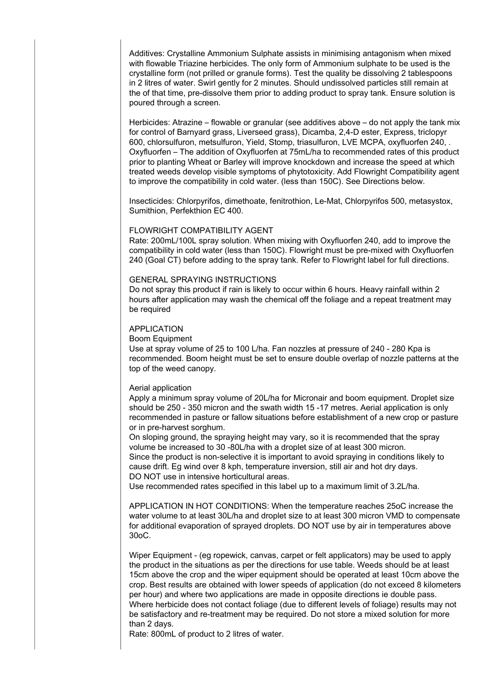Additives: Crystalline Ammonium Sulphate assists in minimising antagonism when mixed with flowable Triazine herbicides. The only form of Ammonium sulphate to be used is the crystalline form (not prilled or granule forms). Test the quality be dissolving 2 tablespoons in 2 litres of water. Swirl gently for 2 minutes. Should undissolved particles still remain at the of that time, pre-dissolve them prior to adding product to spray tank. Ensure solution is poured through a screen.

Herbicides: Atrazine – flowable or granular (see additives above – do not apply the tank mix for control of Barnyard grass, Liverseed grass), Dicamba, 2,4-D ester, Express, triclopyr 600, chlorsulfuron, metsulfuron, Yield, Stomp, triasulfuron, LVE MCPA, oxyfluorfen 240, . Oxyfluorfen – The addition of Oxyfluorfen at 75mL/ha to recommended rates of this product prior to planting Wheat or Barley will improve knockdown and increase the speed at which treated weeds develop visible symptoms of phytotoxicity. Add Flowright Compatibility agent to improve the compatibility in cold water. (less than 150C). See Directions below.

Insecticides: Chlorpyrifos, dimethoate, fenitrothion, Le-Mat, Chlorpyrifos 500, metasystox, Sumithion, Perfekthion EC 400.

# FLOWRIGHT COMPATIBILITY AGENT

Rate: 200mL/100L spray solution. When mixing with Oxyfluorfen 240, add to improve the compatibility in cold water (less than 150C). Flowright must be pre-mixed with Oxyfluorfen 240 (Goal CT) before adding to the spray tank. Refer to Flowright label for full directions.

### GENERAL SPRAYING INSTRUCTIONS

Do not spray this product if rain is likely to occur within 6 hours. Heavy rainfall within 2 hours after application may wash the chemical off the foliage and a repeat treatment may be required

### APPLICATION

Boom Equipment

Use at spray volume of 25 to 100 L/ha. Fan nozzles at pressure of 240 - 280 Kpa is recommended. Boom height must be set to ensure double overlap of nozzle patterns at the top of the weed canopy.

#### Aerial application

Apply a minimum spray volume of 20L/ha for Micronair and boom equipment. Droplet size should be 250 - 350 micron and the swath width 15 -17 metres. Aerial application is only recommended in pasture or fallow situations before establishment of a new crop or pasture or in pre-harvest sorghum.

On sloping ground, the spraying height may vary, so it is recommended that the spray volume be increased to 30 -80L/ha with a droplet size of at least 300 micron. Since the product is non-selective it is important to avoid spraying in conditions likely to cause drift. Eg wind over 8 kph, temperature inversion, still air and hot dry days. DO NOT use in intensive horticultural areas.

Use recommended rates specified in this label up to a maximum limit of 3.2L/ha.

APPLICATION IN HOT CONDITIONS: When the temperature reaches 25oC increase the water volume to at least 30L/ha and droplet size to at least 300 micron VMD to compensate for additional evaporation of sprayed droplets. DO NOT use by air in temperatures above 30oC.

Wiper Equipment - (eg ropewick, canvas, carpet or felt applicators) may be used to apply the product in the situations as per the directions for use table. Weeds should be at least 15cm above the crop and the wiper equipment should be operated at least 10cm above the crop. Best results are obtained with lower speeds of application (do not exceed 8 kilometers per hour) and where two applications are made in opposite directions ie double pass. Where herbicide does not contact foliage (due to different levels of foliage) results may not be satisfactory and re-treatment may be required. Do not store a mixed solution for more than 2 days.

Rate: 800mL of product to 2 litres of water.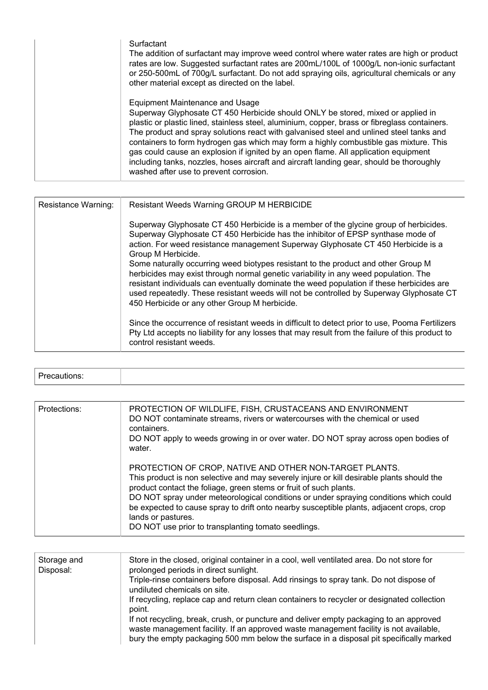| Surfactant<br>The addition of surfactant may improve weed control where water rates are high or product<br>rates are low. Suggested surfactant rates are 200mL/100L of 1000g/L non-ionic surfactant<br>or 250-500mL of 700g/L surfactant. Do not add spraying oils, agricultural chemicals or any<br>other material except as directed on the label.                                                                                                                                                                                                                                                                                 |
|--------------------------------------------------------------------------------------------------------------------------------------------------------------------------------------------------------------------------------------------------------------------------------------------------------------------------------------------------------------------------------------------------------------------------------------------------------------------------------------------------------------------------------------------------------------------------------------------------------------------------------------|
| Equipment Maintenance and Usage<br>Superway Glyphosate CT 450 Herbicide should ONLY be stored, mixed or applied in<br>plastic or plastic lined, stainless steel, aluminium, copper, brass or fibreglass containers.<br>The product and spray solutions react with galvanised steel and unlined steel tanks and<br>containers to form hydrogen gas which may form a highly combustible gas mixture. This<br>gas could cause an explosion if ignited by an open flame. All application equipment<br>including tanks, nozzles, hoses aircraft and aircraft landing gear, should be thoroughly<br>washed after use to prevent corrosion. |

| Resistance Warning: | Resistant Weeds Warning GROUP M HERBICIDE                                                                                                                                                                                                                                                                                                                                                                         |  |
|---------------------|-------------------------------------------------------------------------------------------------------------------------------------------------------------------------------------------------------------------------------------------------------------------------------------------------------------------------------------------------------------------------------------------------------------------|--|
|                     | Superway Glyphosate CT 450 Herbicide is a member of the glycine group of herbicides.<br>Superway Glyphosate CT 450 Herbicide has the inhibitor of EPSP synthase mode of<br>action. For weed resistance management Superway Glyphosate CT 450 Herbicide is a<br>Group M Herbicide.                                                                                                                                 |  |
|                     | Some naturally occurring weed biotypes resistant to the product and other Group M<br>herbicides may exist through normal genetic variability in any weed population. The<br>resistant individuals can eventually dominate the weed population if these herbicides are<br>used repeatedly. These resistant weeds will not be controlled by Superway Glyphosate CT<br>450 Herbicide or any other Group M herbicide. |  |
|                     | Since the occurrence of resistant weeds in difficult to detect prior to use, Pooma Fertilizers<br>Pty Ltd accepts no liability for any losses that may result from the failure of this product to<br>control resistant weeds.                                                                                                                                                                                     |  |

| Protections: | PROTECTION OF WILDLIFE, FISH, CRUSTACEANS AND ENVIRONMENT<br>DO NOT contaminate streams, rivers or watercourses with the chemical or used<br>containers.<br>DO NOT apply to weeds growing in or over water. DO NOT spray across open bodies of<br>water.                                                                                                                                                                                                                                    |
|--------------|---------------------------------------------------------------------------------------------------------------------------------------------------------------------------------------------------------------------------------------------------------------------------------------------------------------------------------------------------------------------------------------------------------------------------------------------------------------------------------------------|
|              | PROTECTION OF CROP, NATIVE AND OTHER NON-TARGET PLANTS.<br>This product is non selective and may severely injure or kill desirable plants should the<br>product contact the foliage, green stems or fruit of such plants.<br>DO NOT spray under meteorological conditions or under spraying conditions which could<br>be expected to cause spray to drift onto nearby susceptible plants, adjacent crops, crop<br>lands or pastures.<br>DO NOT use prior to transplanting tomato seedlings. |

| Storage and<br>Disposal: | Store in the closed, original container in a cool, well ventilated area. Do not store for<br>prolonged periods in direct sunlight.                                                                                                                                         |
|--------------------------|----------------------------------------------------------------------------------------------------------------------------------------------------------------------------------------------------------------------------------------------------------------------------|
|                          | Triple-rinse containers before disposal. Add rinsings to spray tank. Do not dispose of<br>undiluted chemicals on site.                                                                                                                                                     |
|                          | If recycling, replace cap and return clean containers to recycler or designated collection<br>point.                                                                                                                                                                       |
|                          | If not recycling, break, crush, or puncture and deliver empty packaging to an approved<br>waste management facility. If an approved waste management facility is not available,<br>bury the empty packaging 500 mm below the surface in a disposal pit specifically marked |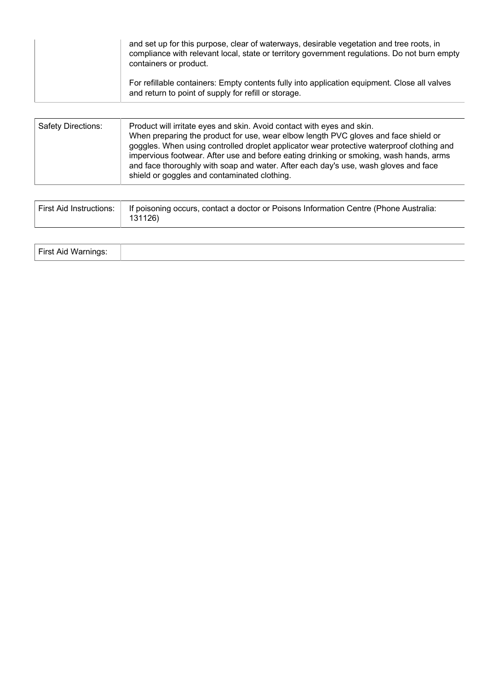| and set up for this purpose, clear of waterways, desirable vegetation and tree roots, in<br>compliance with relevant local, state or territory government regulations. Do not burn empty<br>containers or product. |
|--------------------------------------------------------------------------------------------------------------------------------------------------------------------------------------------------------------------|
| For refillable containers: Empty contents fully into application equipment. Close all valves<br>and return to point of supply for refill or storage.                                                               |

| <b>Safety Directions:</b> | Product will irritate eyes and skin. Avoid contact with eyes and skin.<br>When preparing the product for use, wear elbow length PVC gloves and face shield or<br>goggles. When using controlled droplet applicator wear protective waterproof clothing and<br>impervious footwear. After use and before eating drinking or smoking, wash hands, arms<br>and face thoroughly with soap and water. After each day's use, wash gloves and face<br>shield or goggles and contaminated clothing. |
|---------------------------|---------------------------------------------------------------------------------------------------------------------------------------------------------------------------------------------------------------------------------------------------------------------------------------------------------------------------------------------------------------------------------------------------------------------------------------------------------------------------------------------|
|                           |                                                                                                                                                                                                                                                                                                                                                                                                                                                                                             |

| First Aid Instructions:   If poisoning occurs, contact a doctor or Poisons Information Centre (Phone Australia: |
|-----------------------------------------------------------------------------------------------------------------|
| 131126)                                                                                                         |

| $Time + A$<br>$\mathbf{u}$<br><b>FIISLAIG WAITIIN</b> |  |
|-------------------------------------------------------|--|
|-------------------------------------------------------|--|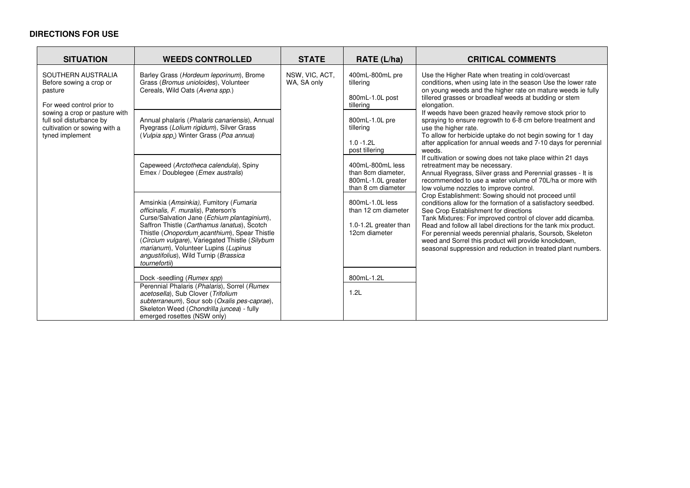# **DIRECTIONS FOR USE**

| <b>SITUATION</b>                                                                                                                                                                                      | <b>WEEDS CONTROLLED</b>                                                                                                                                                                                                                                                                                                                                                          | <b>STATE</b>                  | RATE (L/ha)                                                                        | <b>CRITICAL COMMENTS</b>                                                                                                                                                                                                                                                                                                                                                                                                                                                                                                                               |
|-------------------------------------------------------------------------------------------------------------------------------------------------------------------------------------------------------|----------------------------------------------------------------------------------------------------------------------------------------------------------------------------------------------------------------------------------------------------------------------------------------------------------------------------------------------------------------------------------|-------------------------------|------------------------------------------------------------------------------------|--------------------------------------------------------------------------------------------------------------------------------------------------------------------------------------------------------------------------------------------------------------------------------------------------------------------------------------------------------------------------------------------------------------------------------------------------------------------------------------------------------------------------------------------------------|
| SOUTHERN AUSTRALIA<br>Before sowing a crop or<br>pasture<br>For weed control prior to<br>sowing a crop or pasture with<br>full soil disturbance by<br>cultivation or sowing with a<br>tyned implement | Barley Grass (Hordeum leporinum), Brome<br>Grass (Bromus unioloides), Volunteer<br>Cereals, Wild Oats (Avena spp.)                                                                                                                                                                                                                                                               | NSW, VIC, ACT,<br>WA, SA only | 400mL-800mL pre<br>tillering<br>800mL-1.0L post<br>tillering                       | Use the Higher Rate when treating in cold/overcast<br>conditions, when using late in the season Use the lower rate<br>on young weeds and the higher rate on mature weeds ie fully<br>tillered grasses or broadleaf weeds at budding or stem<br>elongation.<br>If weeds have been grazed heavily remove stock prior to<br>spraying to ensure regrowth to 6-8 cm before treatment and<br>use the higher rate.<br>To allow for herbicide uptake do not begin sowing for 1 day<br>after application for annual weeds and 7-10 days for perennial<br>weeds. |
|                                                                                                                                                                                                       | Annual phalaris (Phalaris canariensis), Annual<br>Ryegrass (Lolium rigidum), Silver Grass<br>(Vulpia spp.) Winter Grass (Poa annua)                                                                                                                                                                                                                                              |                               | 800mL-1.0L pre<br>tillering<br>$1.0 - 1.2$ L<br>post tillering                     |                                                                                                                                                                                                                                                                                                                                                                                                                                                                                                                                                        |
|                                                                                                                                                                                                       | Capeweed (Arctotheca calendula), Spiny<br>Emex / Doublegee ( <i>Emex australis</i> )                                                                                                                                                                                                                                                                                             |                               | 400mL-800mL less<br>than 8cm diameter.<br>800mL-1.0L greater<br>than 8 cm diameter | If cultivation or sowing does not take place within 21 days<br>retreatment may be necessary.<br>Annual Ryegrass, Silver grass and Perennial grasses - It is<br>recommended to use a water volume of 70L/ha or more with<br>low volume nozzles to improve control.                                                                                                                                                                                                                                                                                      |
|                                                                                                                                                                                                       | Amsinkia (Amsinkia), Fumitory (Fumaria<br>officinalis, F. muralis), Paterson's<br>Curse/Salvation Jane (Echium plantaginium),<br>Saffron Thistle (Carthamus lanatus), Scotch<br>Thistle (Onopordum_acanthium), Spear Thistle<br>(Circium vulgare), Variegated Thistle (Silybum<br>marianum), Volunteer Lupins (Lupinus<br>angustifolius), Wild Turnip (Brassica<br>tournefortii) |                               | 800mL-1.0L less<br>than 12 cm diameter<br>1.0-1.2L greater than<br>12cm diameter   | Crop Establishment: Sowing should not proceed until<br>conditions allow for the formation of a satisfactory seedbed.<br>See Crop Establishment for directions<br>Tank Mixtures: For improved control of clover add dicamba.<br>Read and follow all label directions for the tank mix product.<br>For perennial weeds perennial phalaris, Soursob, Skeleton<br>weed and Sorrel this product will provide knockdown,<br>seasonal suppression and reduction in treated plant numbers.                                                                     |
|                                                                                                                                                                                                       | Dock -seedling (Rumex spp)<br>Perennial Phalaris (Phalaris), Sorrel (Rumex<br>acetosella), Sub Clover (Trifolium<br>subterraneum), Sour sob (Oxalis pes-caprae),<br>Skeleton Weed (Chondrilla juncea) - fully<br>emerged rosettes (NSW only)                                                                                                                                     |                               | 800mL-1.2L<br>1.2L                                                                 |                                                                                                                                                                                                                                                                                                                                                                                                                                                                                                                                                        |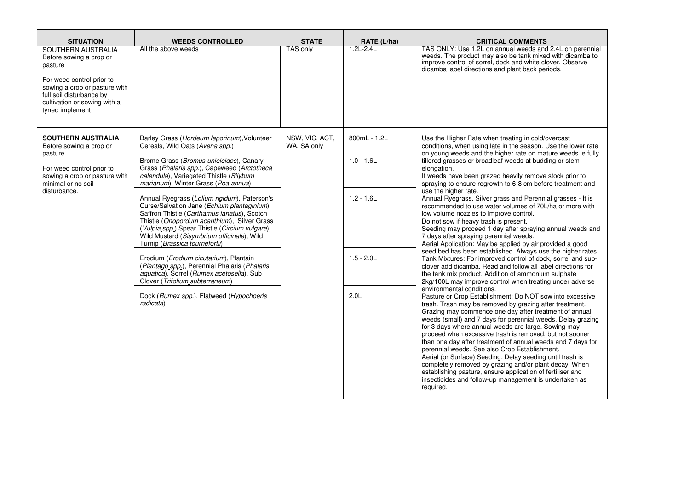| <b>SITUATION</b>                                                                                                                                                                                      | <b>WEEDS CONTROLLED</b>                                                                                                                                                                                                                                                                                                     | <b>STATE</b>                  | RATE (L/ha)      | <b>CRITICAL COMMENTS</b>                                                                                                                                                                                                                                                                                                                                                                                                                                                                                                                                                                                                                                                                                                                                                                                                                                                                                                                                                                                                                                                                                                                                                                                                                                                                                                                                                                                                                                                                                                                                                                                                                                                                                                                                            |
|-------------------------------------------------------------------------------------------------------------------------------------------------------------------------------------------------------|-----------------------------------------------------------------------------------------------------------------------------------------------------------------------------------------------------------------------------------------------------------------------------------------------------------------------------|-------------------------------|------------------|---------------------------------------------------------------------------------------------------------------------------------------------------------------------------------------------------------------------------------------------------------------------------------------------------------------------------------------------------------------------------------------------------------------------------------------------------------------------------------------------------------------------------------------------------------------------------------------------------------------------------------------------------------------------------------------------------------------------------------------------------------------------------------------------------------------------------------------------------------------------------------------------------------------------------------------------------------------------------------------------------------------------------------------------------------------------------------------------------------------------------------------------------------------------------------------------------------------------------------------------------------------------------------------------------------------------------------------------------------------------------------------------------------------------------------------------------------------------------------------------------------------------------------------------------------------------------------------------------------------------------------------------------------------------------------------------------------------------------------------------------------------------|
| SOUTHERN AUSTRALIA<br>Before sowing a crop or<br>pasture<br>For weed control prior to<br>sowing a crop or pasture with<br>full soil disturbance by<br>cultivation or sowing with a<br>tyned implement | All the above weeds                                                                                                                                                                                                                                                                                                         | <b>TAS only</b>               | $1.2L - 2.4L$    | TAS ONLY: Use 1.2L on annual weeds and 2.4L on perennial<br>weeds. The product may also be tank mixed with dicamba to<br>improve control of sorrel, dock and white clover. Observe<br>dicamba label directions and plant back periods.                                                                                                                                                                                                                                                                                                                                                                                                                                                                                                                                                                                                                                                                                                                                                                                                                                                                                                                                                                                                                                                                                                                                                                                                                                                                                                                                                                                                                                                                                                                              |
| <b>SOUTHERN AUSTRALIA</b><br>Before sowing a crop or                                                                                                                                                  | Barley Grass (Hordeum leporinum), Volunteer<br>Cereals, Wild Oats (Avena spp.)                                                                                                                                                                                                                                              | NSW, VIC, ACT,<br>WA, SA only | 800mL - 1.2L     | Use the Higher Rate when treating in cold/overcast<br>conditions, when using late in the season. Use the lower rate                                                                                                                                                                                                                                                                                                                                                                                                                                                                                                                                                                                                                                                                                                                                                                                                                                                                                                                                                                                                                                                                                                                                                                                                                                                                                                                                                                                                                                                                                                                                                                                                                                                 |
| pasture<br>For weed control prior to<br>sowing a crop or pasture with<br>minimal or no soil<br>disturbance.                                                                                           | Brome Grass (Bromus unioloides), Canary<br>Grass (Phalaris spp.), Capeweed (Arctotheca<br>calendula), Variegated Thistle (Silybum<br>marianum), Winter Grass (Poa annua)                                                                                                                                                    |                               | $1.0 - 1.6L$     | on young weeds and the higher rate on mature weeds ie fully<br>tillered grasses or broadleaf weeds at budding or stem<br>elongation.<br>If weeds have been grazed heavily remove stock prior to<br>spraying to ensure regrowth to 6-8 cm before treatment and<br>use the higher rate.<br>Annual Ryegrass, Silver grass and Perennial grasses - It is<br>recommended to use water volumes of 70L/ha or more with<br>low volume nozzles to improve control.<br>Do not sow if heavy trash is present.<br>Seeding may proceed 1 day after spraying annual weeds and<br>7 days after spraying perennial weeds.<br>Aerial Application: May be applied by air provided a good<br>seed bed has been established. Always use the higher rates.<br>Tank Mixtures: For improved control of dock, sorrel and sub-<br>clover add dicamba. Read and follow all label directions for<br>the tank mix product. Addition of ammonium sulphate<br>2kg/100L may improve control when treating under adverse<br>environmental conditions.<br>Pasture or Crop Establishment: Do NOT sow into excessive<br>trash. Trash may be removed by grazing after treatment.<br>Grazing may commence one day after treatment of annual<br>weeds (small) and 7 days for perennial weeds. Delay grazing<br>for 3 days where annual weeds are large. Sowing may<br>proceed when excessive trash is removed, but not sooner<br>than one day after treatment of annual weeds and 7 days for<br>perennial weeds. See also Crop Establishment.<br>Aerial (or Surface) Seeding: Delay seeding until trash is<br>completely removed by grazing and/or plant decay. When<br>establishing pasture, ensure application of fertiliser and<br>insecticides and follow-up management is undertaken as<br>required. |
|                                                                                                                                                                                                       | Annual Ryegrass (Lolium rigidum), Paterson's<br>Curse/Salvation Jane (Echium plantaginium),<br>Saffron Thistle (Carthamus lanatus), Scotch<br>Thistle (Onopordum acanthium), Silver Grass<br>(Vulpia spp.) Spear Thistle (Circium vulgare),<br>Wild Mustard (Sisymbrium officinale), Wild<br>Turnip (Brassica tournefortii) |                               | $1.2 - 1.6$ L    |                                                                                                                                                                                                                                                                                                                                                                                                                                                                                                                                                                                                                                                                                                                                                                                                                                                                                                                                                                                                                                                                                                                                                                                                                                                                                                                                                                                                                                                                                                                                                                                                                                                                                                                                                                     |
|                                                                                                                                                                                                       | Erodium (Erodium cicutarium), Plantain<br>(Plantago_spp.), Perennial Phalaris (Phalaris<br>aquatica), Sorrel (Rumex acetosella), Sub<br>Clover (Trifolium_subterraneum)                                                                                                                                                     |                               | $1.5 - 2.0$ L    |                                                                                                                                                                                                                                                                                                                                                                                                                                                                                                                                                                                                                                                                                                                                                                                                                                                                                                                                                                                                                                                                                                                                                                                                                                                                                                                                                                                                                                                                                                                                                                                                                                                                                                                                                                     |
|                                                                                                                                                                                                       | Dock (Rumex spp.), Flatweed (Hypochoeris<br>radicata)                                                                                                                                                                                                                                                                       |                               | 2.0 <sub>L</sub> |                                                                                                                                                                                                                                                                                                                                                                                                                                                                                                                                                                                                                                                                                                                                                                                                                                                                                                                                                                                                                                                                                                                                                                                                                                                                                                                                                                                                                                                                                                                                                                                                                                                                                                                                                                     |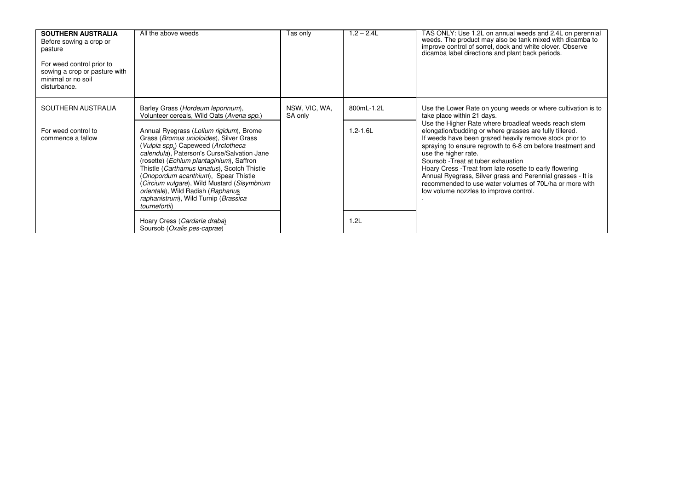| <b>SOUTHERN AUSTRALIA</b><br>Before sowing a crop or<br>pasture<br>For weed control prior to<br>sowing a crop or pasture with<br>minimal or no soil<br>disturbance. | All the above weeds                                                                                                                                                                                                                                                          | Tas onlv                 | $1.2 - 2.4L$               | TAS ONLY: Use 1.2L on annual weeds and 2.4L on perennial weeds. The product may also be tank mixed with dicamba to<br>improve control of sorrel, dock and white clover. Observe<br>dicamba label directions and plant back periods.                                                                                                                            |
|---------------------------------------------------------------------------------------------------------------------------------------------------------------------|------------------------------------------------------------------------------------------------------------------------------------------------------------------------------------------------------------------------------------------------------------------------------|--------------------------|----------------------------|----------------------------------------------------------------------------------------------------------------------------------------------------------------------------------------------------------------------------------------------------------------------------------------------------------------------------------------------------------------|
| SOUTHERN AUSTRALIA<br>For weed control to<br>commence a fallow                                                                                                      | Barley Grass (Hordeum leporinum),<br>Volunteer cereals, Wild Oats (Avena spp.)<br>Annual Ryegrass (Lolium rigidum), Brome<br>Grass (Bromus unioloides), Silver Grass<br>(Vulpia spp.) Capeweed (Arctotheca<br>calendula), Paterson's Curse/Salvation Jane                    | NSW, VIC, WA,<br>SA only | 800mL-1.2L<br>$1.2 - 1.6L$ | Use the Lower Rate on young weeds or where cultivation is to<br>take place within 21 days.<br>Use the Higher Rate where broadleaf weeds reach stem<br>elongation/budding or where grasses are fully tillered.<br>If weeds have been grazed heavily remove stock prior to<br>spraying to ensure regrowth to 6-8 cm before treatment and<br>use the higher rate. |
|                                                                                                                                                                     | (rosette) (Echium plantaginium), Saffron<br>Thistle (Carthamus lanatus), Scotch Thistle<br>(Onopordum acanthium), Spear Thistle<br>(Circium vulgare), Wild Mustard (Sisymbrium<br>orientale), Wild Radish (Raphanus<br>raphanistrum), Wild Turnip (Brassica<br>tournefortii) |                          |                            | Soursob - Treat at tuber exhaustion<br>Hoary Cress - Treat from late rosette to early flowering<br>Annual Ryegrass, Silver grass and Perennial grasses - It is<br>recommended to use water volumes of 70L/ha or more with<br>low volume nozzles to improve control.                                                                                            |
|                                                                                                                                                                     | Hoary Cress (Cardaria draba)<br>Soursob (Oxalis pes-caprae)                                                                                                                                                                                                                  |                          | 1.2L                       |                                                                                                                                                                                                                                                                                                                                                                |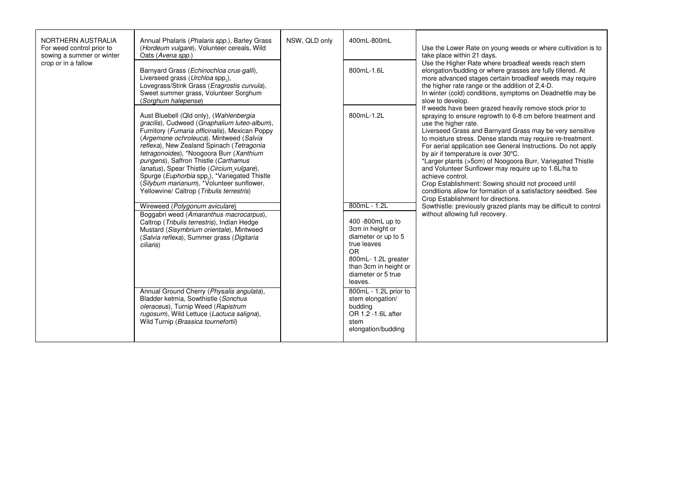| NORTHERN AUSTRALIA<br>For weed control prior to<br>sowing a summer or winter<br>crop or in a fallow | Annual Phalaris (Phalaris spp.), Barley Grass<br>(Hordeum vulgare), Volunteer cereals, Wild<br>Oats (Avena spp.)                                                                                                                                                                                                                                                                                                                                                                                                                                                                          | NSW, QLD only | 400mL-800mL                                                                                                                                                                                                                                                                               | Use the Lower Rate on young weeds or where cultivation is to<br>take place within 21 days.<br>Use the Higher Rate where broadleaf weeds reach stem<br>elongation/budding or where grasses are fully tillered. At<br>more advanced stages certain broadleaf weeds may require<br>the higher rate range or the addition of 2,4-D.<br>In winter (cold) conditions, symptoms on Deadnettle may be<br>slow to develop.<br>If weeds have been grazed heavily remove stock prior to<br>spraying to ensure regrowth to 6-8 cm before treatment and<br>use the higher rate.<br>Liverseed Grass and Barnyard Grass may be very sensitive<br>to moisture stress. Dense stands may require re-treatment.<br>For aerial application see General Instructions. Do not apply<br>by air if temperature is over 30°C.<br>*Larger plants (>5cm) of Noogoora Burr, Variegated Thistle<br>and Volunteer Sunflower may require up to 1.6L/ha to<br>achieve control.<br>Crop Establishment: Sowing should not proceed until<br>conditions allow for formation of a satisfactory seedbed. See<br>Crop Establishment for directions.<br>Sowthistle: previously grazed plants may be difficult to control<br>without allowing full recovery. |
|-----------------------------------------------------------------------------------------------------|-------------------------------------------------------------------------------------------------------------------------------------------------------------------------------------------------------------------------------------------------------------------------------------------------------------------------------------------------------------------------------------------------------------------------------------------------------------------------------------------------------------------------------------------------------------------------------------------|---------------|-------------------------------------------------------------------------------------------------------------------------------------------------------------------------------------------------------------------------------------------------------------------------------------------|---------------------------------------------------------------------------------------------------------------------------------------------------------------------------------------------------------------------------------------------------------------------------------------------------------------------------------------------------------------------------------------------------------------------------------------------------------------------------------------------------------------------------------------------------------------------------------------------------------------------------------------------------------------------------------------------------------------------------------------------------------------------------------------------------------------------------------------------------------------------------------------------------------------------------------------------------------------------------------------------------------------------------------------------------------------------------------------------------------------------------------------------------------------------------------------------------------------------|
|                                                                                                     | Barnyard Grass (Echinochloa crus-galli),<br>Liverseed grass (Urchloa spp.).<br>Lovegrass/Stink Grass (Eragrostis curvula),<br>Sweet summer grass, Volunteer Sorghum<br>(Sorghum halepense)                                                                                                                                                                                                                                                                                                                                                                                                |               | 800mL-1.6L                                                                                                                                                                                                                                                                                |                                                                                                                                                                                                                                                                                                                                                                                                                                                                                                                                                                                                                                                                                                                                                                                                                                                                                                                                                                                                                                                                                                                                                                                                                     |
|                                                                                                     | Aust Bluebell (Qld only), (Wahlenbergia<br>gracilis), Cudweed (Gnaphalium luteo-album),<br>Fumitory (Fumaria officinalis), Mexican Poppy<br>(Argemone ochroleuca), Mintweed (Salvia<br>reflexa), New Zealand Spinach (Tetragonia<br>tetragonoides), *Noogoora Burr (Xanthium<br>pungens), Saffron Thistle (Carthamus<br>lanatus), Spear Thistle (Circium vulgare),<br>Spurge (Euphorbia spp.), *Variegated Thistle<br>(Silybum marianum), *Volunteer sunflower,<br>Yellowvine/ Caltrop (Tribulis terrestris)<br>Wireweed (Polygonum aviculare)<br>Boggabri weed (Amaranthus macrocarpus), |               | 800mL-1.2L<br>800mL - 1.2L                                                                                                                                                                                                                                                                |                                                                                                                                                                                                                                                                                                                                                                                                                                                                                                                                                                                                                                                                                                                                                                                                                                                                                                                                                                                                                                                                                                                                                                                                                     |
|                                                                                                     | Caltrop (Tribulis terrestris), Indian Hedge<br>Mustard (Sisymbrium orientale), Mintweed<br>(Salvia reflexa), Summer grass (Digitaria<br>ciliaris)<br>Annual Ground Cherry (Physalis angulata),<br>Bladder ketmia, Sowthistle (Sonchus<br>oleraceus), Turnip Weed (Rapistrum<br>rugosum), Wild Lettuce (Lactuca saligna),<br>Wild Turnip (Brassica tournefortii)                                                                                                                                                                                                                           |               | 400 -800mL up to<br>3cm in height or<br>diameter or up to 5<br>true leaves<br>O <sub>R</sub><br>800mL- 1.2L greater<br>than 3cm in height or<br>diameter or 5 true<br>leaves.<br>800mL - 1.2L prior to<br>stem elongation/<br>budding<br>OR 1.2 -1.6L after<br>stem<br>elongation/budding |                                                                                                                                                                                                                                                                                                                                                                                                                                                                                                                                                                                                                                                                                                                                                                                                                                                                                                                                                                                                                                                                                                                                                                                                                     |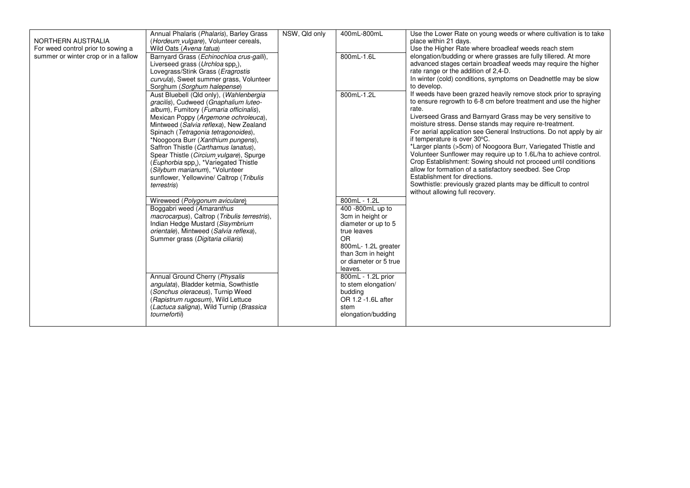|                                      | Annual Phalaris (Phalaris), Barley Grass     | NSW, Qld only | 400mL-800mL           | Use the Lower Rate on young weeds or where cultivation is to take    |
|--------------------------------------|----------------------------------------------|---------------|-----------------------|----------------------------------------------------------------------|
| NORTHERN AUSTRALIA                   | (Hordeum vulgare), Volunteer cereals,        |               |                       | place within 21 days.                                                |
| For weed control prior to sowing a   | Wild Oats (Avena fatua)                      |               |                       | Use the Higher Rate where broadleaf weeds reach stem                 |
| summer or winter crop or in a fallow | Barnyard Grass (Echinochloa crus-galli),     |               | 800mL-1.6L            | elongation/budding or where grasses are fully tillered. At more      |
|                                      | Liverseed grass (Urchloa spp.),              |               |                       | advanced stages certain broadleaf weeds may require the higher       |
|                                      | Lovegrass/Stink Grass (Eragrostis            |               |                       | rate range or the addition of 2,4-D.                                 |
|                                      | curvula), Sweet summer grass, Volunteer      |               |                       | In winter (cold) conditions, symptoms on Deadnettle may be slow      |
|                                      | Sorghum (Sorghum halepense)                  |               |                       | to develop.                                                          |
|                                      | Aust Bluebell (Qld only), (Wahlenbergia      |               | 800mL-1.2L            | If weeds have been grazed heavily remove stock prior to spraying     |
|                                      | gracilis), Cudweed (Gnaphalium luteo-        |               |                       | to ensure regrowth to 6-8 cm before treatment and use the higher     |
|                                      | album), Fumitory (Fumaria officinalis),      |               |                       | rate.                                                                |
|                                      | Mexican Poppy (Argemone ochroleuca),         |               |                       | Liverseed Grass and Barnyard Grass may be very sensitive to          |
|                                      | Mintweed (Salvia reflexa), New Zealand       |               |                       | moisture stress. Dense stands may require re-treatment.              |
|                                      | Spinach (Tetragonia tetragonoides),          |               |                       | For aerial application see General Instructions. Do not apply by air |
|                                      | *Noogoora Burr (Xanthium pungens),           |               |                       | if temperature is over 30°C.                                         |
|                                      | Saffron Thistle (Carthamus lanatus),         |               |                       | *Larger plants (>5cm) of Noogoora Burr, Variegated Thistle and       |
|                                      | Spear Thistle (Circium vulgare), Spurge      |               |                       | Volunteer Sunflower may require up to 1.6L/ha to achieve control.    |
|                                      | (Euphorbia spp.), *Variegated Thistle        |               |                       | Crop Establishment: Sowing should not proceed until conditions       |
|                                      | (Silybum marianum), *Volunteer               |               |                       | allow for formation of a satisfactory seedbed. See Crop              |
|                                      | sunflower, Yellowvine/ Caltrop (Tribulis     |               |                       | Establishment for directions.                                        |
|                                      | <i>terrestris</i> )                          |               |                       | Sowthistle: previously grazed plants may be difficult to control     |
|                                      |                                              |               |                       | without allowing full recovery.                                      |
|                                      | Wireweed (Polygonum aviculare)               |               | 800mL - 1.2L          |                                                                      |
|                                      | Boggabri weed (Amaranthus                    |               | 400 -800mL up to      |                                                                      |
|                                      | macrocarpus), Caltrop (Tribulis terrestris), |               | 3cm in height or      |                                                                      |
|                                      | Indian Hedge Mustard (Sisymbrium             |               | diameter or up to 5   |                                                                      |
|                                      | orientale), Mintweed (Salvia reflexa),       |               | true leaves           |                                                                      |
|                                      | Summer grass (Digitaria ciliaris)            |               | OR                    |                                                                      |
|                                      |                                              |               | 800mL-1.2L greater    |                                                                      |
|                                      |                                              |               | than 3cm in height    |                                                                      |
|                                      |                                              |               | or diameter or 5 true |                                                                      |
|                                      |                                              |               | leaves.               |                                                                      |
|                                      | Annual Ground Cherry (Physalis               |               | 800mL - 1.2L prior    |                                                                      |
|                                      | angulata), Bladder ketmia, Sowthistle        |               | to stem elongation/   |                                                                      |
|                                      | (Sonchus oleraceus), Turnip Weed             |               | budding               |                                                                      |
|                                      | (Rapistrum rugosum), Wild Lettuce            |               | OR 1.2 -1.6L after    |                                                                      |
|                                      | (Lactuca saligna), Wild Turnip (Brassica     |               | stem                  |                                                                      |
|                                      | tournefortii)                                |               | elongation/budding    |                                                                      |
|                                      |                                              |               |                       |                                                                      |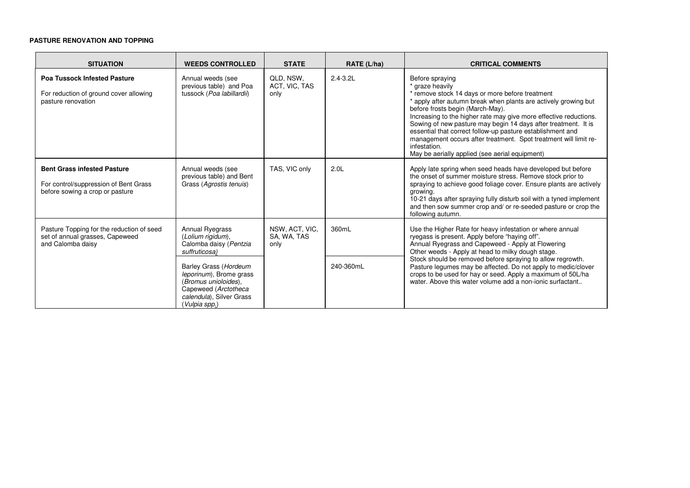# **PASTURE RENOVATION AND TOPPING**

| <b>SITUATION</b>                                                                                               | <b>WEEDS CONTROLLED</b>                                                                                                                       | <b>STATE</b>                          | RATE (L/ha)      | <b>CRITICAL COMMENTS</b>                                                                                                                                                                                                                                                                                                                                                                                                                                                                                                                |
|----------------------------------------------------------------------------------------------------------------|-----------------------------------------------------------------------------------------------------------------------------------------------|---------------------------------------|------------------|-----------------------------------------------------------------------------------------------------------------------------------------------------------------------------------------------------------------------------------------------------------------------------------------------------------------------------------------------------------------------------------------------------------------------------------------------------------------------------------------------------------------------------------------|
| <b>Poa Tussock Infested Pasture</b><br>For reduction of ground cover allowing<br>pasture renovation            | Annual weeds (see<br>previous table) and Poa<br>tussock (Poa labillardii)                                                                     | QLD, NSW,<br>ACT, VIC, TAS<br>only    | $2.4 - 3.2L$     | Before spraying<br>* graze heavily<br>* remove stock 14 days or more before treatment<br>* apply after autumn break when plants are actively growing but<br>before frosts begin (March-May).<br>Increasing to the higher rate may give more effective reductions.<br>Sowing of new pasture may begin 14 days after treatment. It is<br>essential that correct follow-up pasture establishment and<br>management occurs after treatment. Spot treatment will limit re-<br>infestation.<br>May be aerially applied (see aerial equipment) |
| <b>Bent Grass infested Pasture</b><br>For control/suppression of Bent Grass<br>before sowing a crop or pasture | Annual weeds (see<br>previous table) and Bent<br>Grass (Agrostis tenuis)                                                                      | TAS, VIC only                         | 2.0 <sub>L</sub> | Apply late spring when seed heads have developed but before<br>the onset of summer moisture stress. Remove stock prior to<br>spraying to achieve good foliage cover. Ensure plants are actively<br>growing.<br>10-21 days after spraying fully disturb soil with a tyned implement<br>and then sow summer crop and/ or re-seeded pasture or crop the<br>following autumn.                                                                                                                                                               |
| Pasture Topping for the reduction of seed<br>set of annual grasses, Capeweed<br>and Calomba daisy              | Annual Ryegrass<br>(Lolium rigidum),<br>Calomba daisy (Pentzia<br>suffruticosa)                                                               | NSW, ACT, VIC,<br>SA, WA, TAS<br>only | 360mL            | Use the Higher Rate for heavy infestation or where annual<br>ryegass is present. Apply before "haying off".<br>Annual Ryegrass and Capeweed - Apply at Flowering<br>Other weeds - Apply at head to milky dough stage.                                                                                                                                                                                                                                                                                                                   |
|                                                                                                                | Barley Grass (Hordeum<br>leporinum), Brome grass<br>(Bromus unioloides),<br>Capeweed (Arctotheca<br>calendula), Silver Grass<br>(Vulpia spp.) |                                       | 240-360mL        | Stock should be removed before spraying to allow regrowth.<br>Pasture legumes may be affected. Do not apply to medic/clover<br>crops to be used for hay or seed. Apply a maximum of 50L/ha<br>water. Above this water volume add a non-ionic surfactant                                                                                                                                                                                                                                                                                 |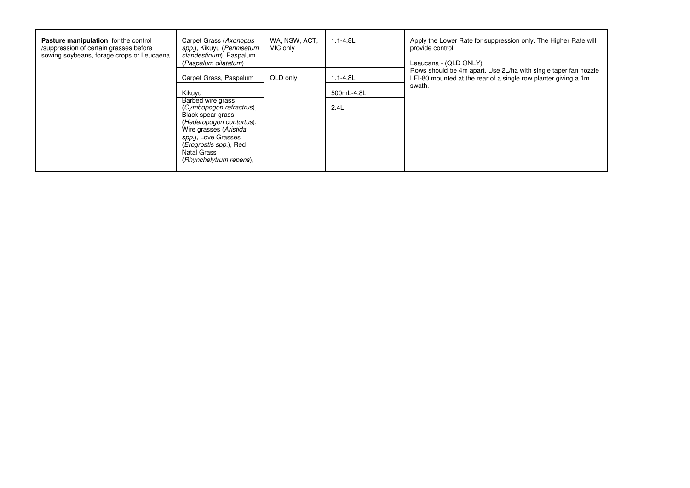| <b>Pasture manipulation</b> for the control<br>/suppression of certain grasses before<br>sowing soybeans, forage crops or Leucaena | Carpet Grass (Axonopus<br>spp.), Kikuyu (Pennisetum<br>clandestinum), Paspalum<br>(Paspalum dilatatum)                                                                                                                              | WA, NSW, ACT,<br>VIC only | $1.1 - 4.8$ L | Apply the Lower Rate for suppression only. The Higher Rate will<br>provide control.<br>Leaucana - (QLD ONLY)                      |
|------------------------------------------------------------------------------------------------------------------------------------|-------------------------------------------------------------------------------------------------------------------------------------------------------------------------------------------------------------------------------------|---------------------------|---------------|-----------------------------------------------------------------------------------------------------------------------------------|
|                                                                                                                                    | Carpet Grass, Paspalum                                                                                                                                                                                                              | QLD only                  | $1.1 - 4.8L$  | Rows should be 4m apart. Use 2L/ha with single taper fan nozzle<br>LFI-80 mounted at the rear of a single row planter giving a 1m |
|                                                                                                                                    | Kikuyu                                                                                                                                                                                                                              |                           | 500mL-4.8L    | swath.                                                                                                                            |
|                                                                                                                                    | Barbed wire grass<br>(Cymbopogon refractrus),<br>Black spear grass<br>(Hederopogon contortus),<br>Wire grasses (Aristida<br>spp.), Love Grasses<br>( <i>Erogrostis spp.</i> ), Red<br><b>Natal Grass</b><br>(Rhynchelytrum repens), |                           | 2.4L          |                                                                                                                                   |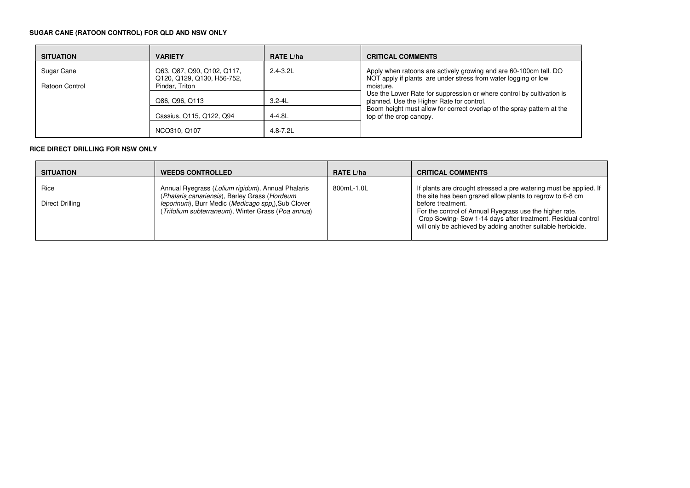# **SUGAR CANE (RATOON CONTROL) FOR QLD AND NSW ONLY**

| <b>SITUATION</b>             | <b>VARIETY</b>                                                             | <b>RATE L/ha</b> | <b>CRITICAL COMMENTS</b>                                                                                                                         |
|------------------------------|----------------------------------------------------------------------------|------------------|--------------------------------------------------------------------------------------------------------------------------------------------------|
| Sugar Cane<br>Ratoon Control | Q63, Q87, Q90, Q102, Q117,<br>Q120, Q129, Q130, H56-752,<br>Pindar, Triton | $2.4 - 3.2$ L    | Apply when ratoons are actively growing and are 60-100cm tall. DO<br>NOT apply if plants are under stress from water logging or low<br>moisture. |
|                              | Q86, Q96, Q113                                                             | $3.2 - 4L$       | Use the Lower Rate for suppression or where control by cultivation is<br>planned. Use the Higher Rate for control.                               |
|                              | Cassius, Q115, Q122, Q94                                                   | 4-4.8L           | Boom height must allow for correct overlap of the spray pattern at the<br>top of the crop canopy.                                                |
|                              | NCO310, Q107                                                               | $4.8 - 7.2$ L    |                                                                                                                                                  |

### **RICE DIRECT DRILLING FOR NSW ONLY**

| <b>SITUATION</b>        | <b>WEEDS CONTROLLED</b>                                                                                                                                                                                                         | <b>RATE L/ha</b> | <b>CRITICAL COMMENTS</b>                                                                                                                                                                                                                                                                                                                     |
|-------------------------|---------------------------------------------------------------------------------------------------------------------------------------------------------------------------------------------------------------------------------|------------------|----------------------------------------------------------------------------------------------------------------------------------------------------------------------------------------------------------------------------------------------------------------------------------------------------------------------------------------------|
| Rice<br>Direct Drilling | Annual Ryegrass (Lolium rigidum), Annual Phalaris<br>(Phalaris canariensis), Barley Grass (Hordeum<br><i>leporinum</i> ), Burr Medic ( <i>Medicago spp.</i> ), Sub Clover<br>(Trifolium subterraneum), Winter Grass (Poa annua) | 800mL-1.0L       | If plants are drought stressed a pre watering must be applied. If<br>the site has been grazed allow plants to regrow to 6-8 cm<br>before treatment.<br>For the control of Annual Ryegrass use the higher rate.<br>Crop Sowing-Sow 1-14 days after treatment. Residual control<br>will only be achieved by adding another suitable herbicide. |